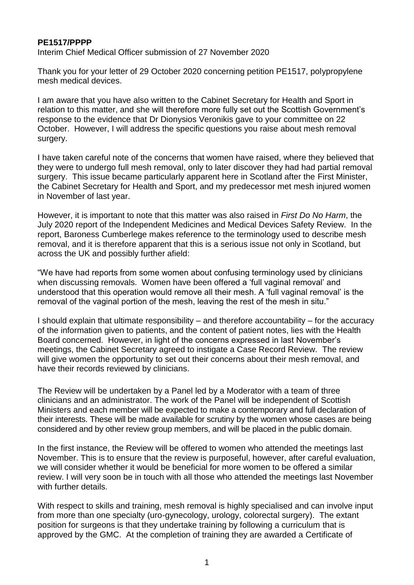## **PE1517/PPPP**

Interim Chief Medical Officer submission of 27 November 2020

Thank you for your letter of 29 October 2020 concerning petition PE1517, polypropylene mesh medical devices.

I am aware that you have also written to the Cabinet Secretary for Health and Sport in relation to this matter, and she will therefore more fully set out the Scottish Government's response to the evidence that Dr Dionysios Veronikis gave to your committee on 22 October. However, I will address the specific questions you raise about mesh removal surgery.

I have taken careful note of the concerns that women have raised, where they believed that they were to undergo full mesh removal, only to later discover they had had partial removal surgery. This issue became particularly apparent here in Scotland after the First Minister, the Cabinet Secretary for Health and Sport, and my predecessor met mesh injured women in November of last year.

However, it is important to note that this matter was also raised in *First Do No Harm*, the July 2020 report of the Independent Medicines and Medical Devices Safety Review. In the report, Baroness Cumberlege makes reference to the terminology used to describe mesh removal, and it is therefore apparent that this is a serious issue not only in Scotland, but across the UK and possibly further afield:

"We have had reports from some women about confusing terminology used by clinicians when discussing removals. Women have been offered a 'full vaginal removal' and understood that this operation would remove all their mesh. A 'full vaginal removal' is the removal of the vaginal portion of the mesh, leaving the rest of the mesh in situ."

I should explain that ultimate responsibility – and therefore accountability – for the accuracy of the information given to patients, and the content of patient notes, lies with the Health Board concerned. However, in light of the concerns expressed in last November's meetings, the Cabinet Secretary agreed to instigate a Case Record Review. The review will give women the opportunity to set out their concerns about their mesh removal, and have their records reviewed by clinicians.

The Review will be undertaken by a Panel led by a Moderator with a team of three clinicians and an administrator. The work of the Panel will be independent of Scottish Ministers and each member will be expected to make a contemporary and full declaration of their interests. These will be made available for scrutiny by the women whose cases are being considered and by other review group members, and will be placed in the public domain.

In the first instance, the Review will be offered to women who attended the meetings last November. This is to ensure that the review is purposeful, however, after careful evaluation, we will consider whether it would be beneficial for more women to be offered a similar review. I will very soon be in touch with all those who attended the meetings last November with further details.

With respect to skills and training, mesh removal is highly specialised and can involve input from more than one specialty (uro-gynecology, urology, colorectal surgery). The extant position for surgeons is that they undertake training by following a curriculum that is approved by the GMC. At the completion of training they are awarded a Certificate of